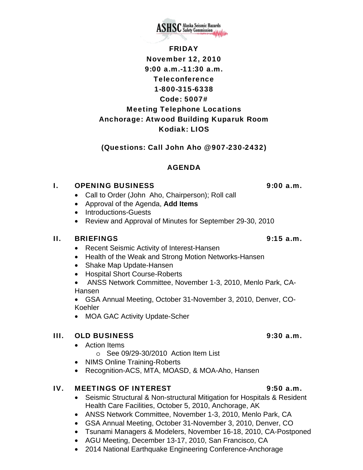

FRIDAY November 12, 2010 9:00 a.m.-11:30 a.m. Teleconference 1-800-315-6338 Code: 5007# Meeting Telephone Locations Anchorage: Atwood Building Kuparuk Room Kodiak: LIOS

## (Questions: Call John Aho @ 907-230-2432)

# AGENDA

#### I. OPENING BUSINESS 9:00 a.m.

- Call to Order (John Aho, Chairperson); Roll call
- Approval of the Agenda, **Add Items**
- Introductions-Guests
- Review and Approval of Minutes for September 29-30, 2010

## II. BRIEFINGS 9:15 a.m.

- Recent Seismic Activity of Interest-Hansen
- Health of the Weak and Strong Motion Networks-Hansen
- Shake Map Update-Hansen
- Hospital Short Course-Roberts

• ANSS Network Committee, November 1-3, 2010, Menlo Park, CA-Hansen

• GSA Annual Meeting, October 31-November 3, 2010, Denver, CO-Koehler

• MOA GAC Activity Update-Scher

## III. OLD BUSINESS 9:30 a.m.

- Action Items o See 09/29-30/2010 Action Item List
- NIMS Online Training-Roberts
- Recognition-ACS, MTA, MOASD, & MOA-Aho, Hansen

## IV. MEETINGS OF INTEREST 9:50 a.m.

- Seismic Structural & Non-structural Mitigation for Hospitals & Resident Health Care Facilities, October 5, 2010, Anchorage, AK
- ANSS Network Committee, November 1-3, 2010, Menlo Park, CA
- GSA Annual Meeting, October 31-November 3, 2010, Denver, CO
- Tsunami Managers & Modelers, November 16-18, 2010, CA-Postponed
- AGU Meeting, December 13-17, 2010, San Francisco, CA
- 2014 National Earthquake Engineering Conference-Anchorage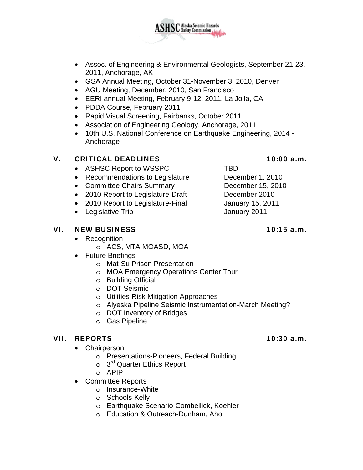

ASHSC Alaska Seismic Hazards

- GSA Annual Meeting, October 31-November 3, 2010, Denver
- AGU Meeting, December, 2010, San Francisco
- EERI annual Meeting, February 9-12, 2011, La Jolla, CA
- PDDA Course, February 2011
- Rapid Visual Screening, Fairbanks, October 2011
- Association of Engineering Geology, Anchorage, 2011
- 10th U.S. National Conference on Earthquake Engineering, 2014 Anchorage

## V. CRITICAL DEADLINES 10:00 a.m.

- ASHSC Report to WSSPC TBD
- Recommendations to Legislature December 1, 2010
- Committee Chairs Summary December 15, 2010
- 2010 Report to Legislature-Draft December 2010
- 2010 Report to Legislature-Final January 15, 2011
- Legislative Trip **January 2011**

## VI. NEW BUSINESS 10:15 a.m.

- Recognition
	- o ACS, MTA MOASD, MOA
- Future Briefings
	- o Mat-Su Prison Presentation
	- o MOA Emergency Operations Center Tour
	- o Building Official
	- o DOT Seismic
	- o Utilities Risk Mitigation Approaches
	- o Alyeska Pipeline Seismic Instrumentation-March Meeting?
	- o DOT Inventory of Bridges
	- o Gas Pipeline

## VII. REPORTS 10:30 a.m.

- Chairperson
	- o Presentations-Pioneers, Federal Building
	- $\circ$  3<sup>rd</sup> Quarter Ethics Report
	- o APIP
- Committee Reports
	- o Insurance-White
	- o Schools-Kelly
	- o Earthquake Scenario-Combellick, Koehler
	- o Education & Outreach-Dunham, Aho